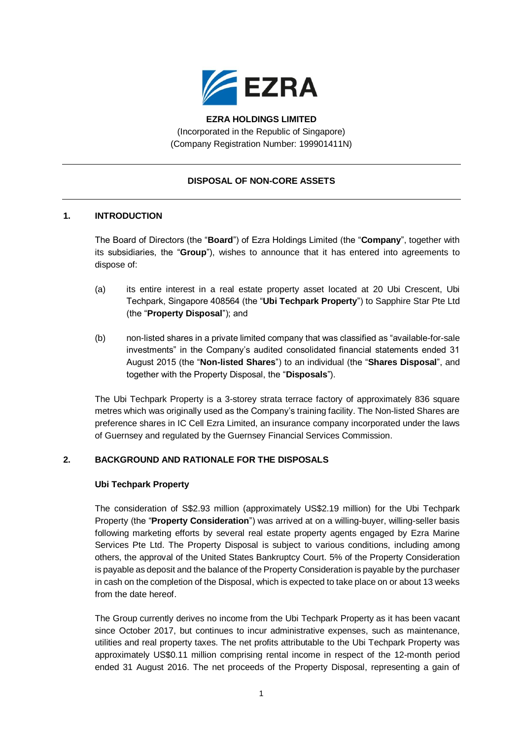

## **EZRA HOLDINGS LIMITED** (Incorporated in the Republic of Singapore) (Company Registration Number: 199901411N)

## **DISPOSAL OF NON-CORE ASSETS**

# **1. INTRODUCTION**

The Board of Directors (the "**Board**") of Ezra Holdings Limited (the "**Company**", together with its subsidiaries, the "**Group**"), wishes to announce that it has entered into agreements to dispose of:

- (a) its entire interest in a real estate property asset located at 20 Ubi Crescent, Ubi Techpark, Singapore 408564 (the "**Ubi Techpark Property**") to Sapphire Star Pte Ltd (the "**Property Disposal**"); and
- (b) non-listed shares in a private limited company that was classified as "available-for-sale investments" in the Company's audited consolidated financial statements ended 31 August 2015 (the "**Non-listed Shares**") to an individual (the "**Shares Disposal**", and together with the Property Disposal, the "**Disposals**").

The Ubi Techpark Property is a 3-storey strata terrace factory of approximately 836 square metres which was originally used as the Company's training facility. The Non-listed Shares are preference shares in IC Cell Ezra Limited, an insurance company incorporated under the laws of Guernsey and regulated by the Guernsey Financial Services Commission.

## **2. BACKGROUND AND RATIONALE FOR THE DISPOSALS**

### **Ubi Techpark Property**

The consideration of S\$2.93 million (approximately US\$2.19 million) for the Ubi Techpark Property (the "**Property Consideration**") was arrived at on a willing-buyer, willing-seller basis following marketing efforts by several real estate property agents engaged by Ezra Marine Services Pte Ltd. The Property Disposal is subject to various conditions, including among others, the approval of the United States Bankruptcy Court. 5% of the Property Consideration is payable as deposit and the balance of the Property Consideration is payable by the purchaser in cash on the completion of the Disposal, which is expected to take place on or about 13 weeks from the date hereof.

The Group currently derives no income from the Ubi Techpark Property as it has been vacant since October 2017, but continues to incur administrative expenses, such as maintenance, utilities and real property taxes. The net profits attributable to the Ubi Techpark Property was approximately US\$0.11 million comprising rental income in respect of the 12-month period ended 31 August 2016. The net proceeds of the Property Disposal, representing a gain of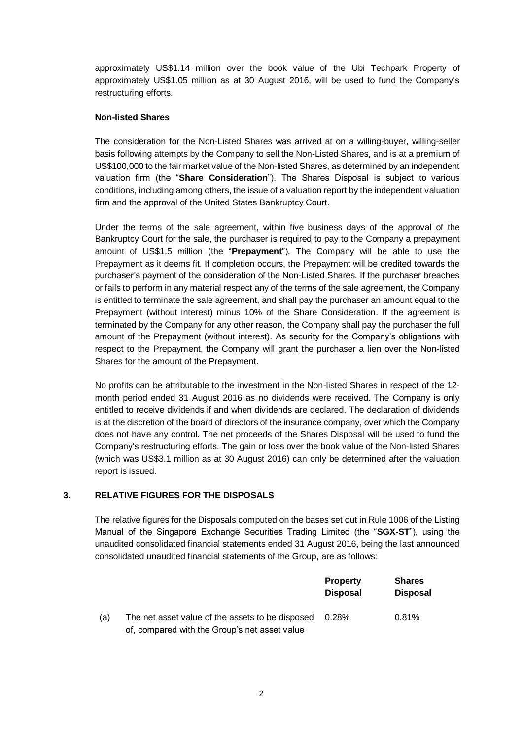approximately US\$1.14 million over the book value of the Ubi Techpark Property of approximately US\$1.05 million as at 30 August 2016, will be used to fund the Company's restructuring efforts.

### **Non-listed Shares**

The consideration for the Non-Listed Shares was arrived at on a willing-buyer, willing-seller basis following attempts by the Company to sell the Non-Listed Shares, and is at a premium of US\$100,000 to the fair market value of the Non-listed Shares, as determined by an independent valuation firm (the "**Share Consideration**"). The Shares Disposal is subject to various conditions, including among others, the issue of a valuation report by the independent valuation firm and the approval of the United States Bankruptcy Court.

Under the terms of the sale agreement, within five business days of the approval of the Bankruptcy Court for the sale, the purchaser is required to pay to the Company a prepayment amount of US\$1.5 million (the "**Prepayment**"). The Company will be able to use the Prepayment as it deems fit. If completion occurs, the Prepayment will be credited towards the purchaser's payment of the consideration of the Non-Listed Shares. If the purchaser breaches or fails to perform in any material respect any of the terms of the sale agreement, the Company is entitled to terminate the sale agreement, and shall pay the purchaser an amount equal to the Prepayment (without interest) minus 10% of the Share Consideration. If the agreement is terminated by the Company for any other reason, the Company shall pay the purchaser the full amount of the Prepayment (without interest). As security for the Company's obligations with respect to the Prepayment, the Company will grant the purchaser a lien over the Non-listed Shares for the amount of the Prepayment.

No profits can be attributable to the investment in the Non-listed Shares in respect of the 12 month period ended 31 August 2016 as no dividends were received. The Company is only entitled to receive dividends if and when dividends are declared. The declaration of dividends is at the discretion of the board of directors of the insurance company, over which the Company does not have any control. The net proceeds of the Shares Disposal will be used to fund the Company's restructuring efforts. The gain or loss over the book value of the Non-listed Shares (which was US\$3.1 million as at 30 August 2016) can only be determined after the valuation report is issued.

## **3. RELATIVE FIGURES FOR THE DISPOSALS**

The relative figures for the Disposals computed on the bases set out in Rule 1006 of the Listing Manual of the Singapore Exchange Securities Trading Limited (the "**SGX-ST**"), using the unaudited consolidated financial statements ended 31 August 2016, being the last announced consolidated unaudited financial statements of the Group, are as follows:

|     |                                                  | <b>Property</b><br><b>Disposal</b> | <b>Shares</b><br><b>Disposal</b> |
|-----|--------------------------------------------------|------------------------------------|----------------------------------|
| (a) | The net asset value of the assets to be disposed | $0.28\%$                           | 0.81%                            |
|     | of, compared with the Group's net asset value    |                                    |                                  |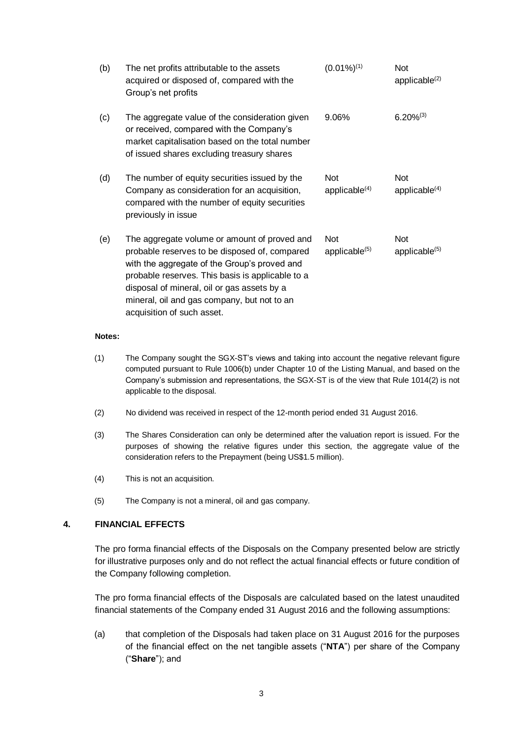| (b) | The net profits attributable to the assets<br>acquired or disposed of, compared with the<br>Group's net profits                                                                                                                                                                                                               | $(0.01\%)^{(1)}$                        | Not<br>applicable $(2)$                 |
|-----|-------------------------------------------------------------------------------------------------------------------------------------------------------------------------------------------------------------------------------------------------------------------------------------------------------------------------------|-----------------------------------------|-----------------------------------------|
| (c) | The aggregate value of the consideration given<br>or received, compared with the Company's<br>market capitalisation based on the total number<br>of issued shares excluding treasury shares                                                                                                                                   | 9.06%                                   | $6.20\%^{(3)}$                          |
| (d) | The number of equity securities issued by the<br>Company as consideration for an acquisition,<br>compared with the number of equity securities<br>previously in issue                                                                                                                                                         | Not<br>applicable $(4)$                 | Not<br>applicable $(4)$                 |
| (e) | The aggregate volume or amount of proved and<br>probable reserves to be disposed of, compared<br>with the aggregate of the Group's proved and<br>probable reserves. This basis is applicable to a<br>disposal of mineral, oil or gas assets by a<br>mineral, oil and gas company, but not to an<br>acquisition of such asset. | <b>Not</b><br>applicable <sup>(5)</sup> | <b>Not</b><br>applicable <sup>(5)</sup> |

#### **Notes:**

- (1) The Company sought the SGX-ST's views and taking into account the negative relevant figure computed pursuant to Rule 1006(b) under Chapter 10 of the Listing Manual, and based on the Company's submission and representations, the SGX-ST is of the view that Rule 1014(2) is not applicable to the disposal.
- (2) No dividend was received in respect of the 12-month period ended 31 August 2016.
- (3) The Shares Consideration can only be determined after the valuation report is issued. For the purposes of showing the relative figures under this section, the aggregate value of the consideration refers to the Prepayment (being US\$1.5 million).
- (4) This is not an acquisition.
- (5) The Company is not a mineral, oil and gas company.

#### **4. FINANCIAL EFFECTS**

The pro forma financial effects of the Disposals on the Company presented below are strictly for illustrative purposes only and do not reflect the actual financial effects or future condition of the Company following completion.

The pro forma financial effects of the Disposals are calculated based on the latest unaudited financial statements of the Company ended 31 August 2016 and the following assumptions:

(a) that completion of the Disposals had taken place on 31 August 2016 for the purposes of the financial effect on the net tangible assets ("**NTA**") per share of the Company ("**Share**"); and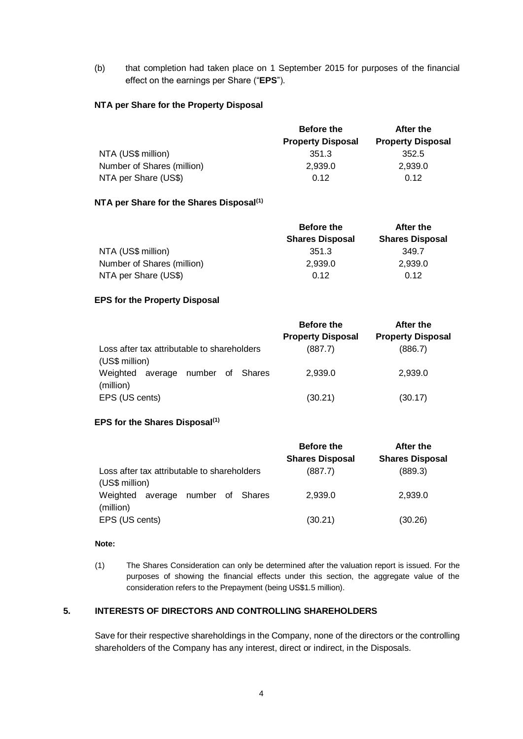(b) that completion had taken place on 1 September 2015 for purposes of the financial effect on the earnings per Share ("**EPS**").

#### **NTA per Share for the Property Disposal**

|                            | <b>Before the</b>        | After the                |  |
|----------------------------|--------------------------|--------------------------|--|
|                            | <b>Property Disposal</b> | <b>Property Disposal</b> |  |
| NTA (US\$ million)         | 351.3                    | 352.5                    |  |
| Number of Shares (million) | 2,939.0                  | 2.939.0                  |  |
| NTA per Share (US\$)       | 0.12                     | 0.12                     |  |

### **NTA per Share for the Shares Disposal(1)**

|                            | <b>Before the</b>      | After the              |
|----------------------------|------------------------|------------------------|
|                            | <b>Shares Disposal</b> | <b>Shares Disposal</b> |
| NTA (US\$ million)         | 351.3                  | 349.7                  |
| Number of Shares (million) | 2,939.0                | 2,939.0                |
| NTA per Share (US\$)       | 0.12                   | 0.12                   |

#### **EPS for the Property Disposal**

|                                                               | <b>Before the</b>        | After the                |
|---------------------------------------------------------------|--------------------------|--------------------------|
|                                                               | <b>Property Disposal</b> | <b>Property Disposal</b> |
| Loss after tax attributable to shareholders<br>(US\$ million) | (887.7)                  | (886.7)                  |
| Weighted<br>average number of Shares<br>(million)             | 2,939.0                  | 2,939.0                  |
| EPS (US cents)                                                | (30.21)                  | (30.17)                  |

#### **EPS for the Shares Disposal(1)**

|                                             | <b>Before the</b>      | After the              |
|---------------------------------------------|------------------------|------------------------|
|                                             | <b>Shares Disposal</b> | <b>Shares Disposal</b> |
| Loss after tax attributable to shareholders | (887.7)                | (889.3)                |
| (US\$ million)                              |                        |                        |
| Weighted<br>average number of<br>Shares     | 2,939.0                | 2,939.0                |
| (million)                                   |                        |                        |
| EPS (US cents)                              | (30.21)                | (30.26)                |

#### **Note:**

(1) The Shares Consideration can only be determined after the valuation report is issued. For the purposes of showing the financial effects under this section, the aggregate value of the consideration refers to the Prepayment (being US\$1.5 million).

# **5. INTERESTS OF DIRECTORS AND CONTROLLING SHAREHOLDERS**

Save for their respective shareholdings in the Company, none of the directors or the controlling shareholders of the Company has any interest, direct or indirect, in the Disposals.